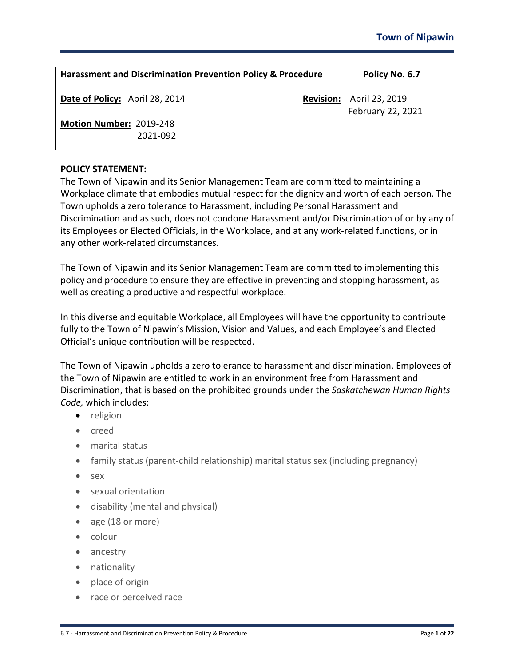| <b>Harassment and Discrimination Prevention Policy &amp; Procedure</b> |                  | Policy No. 6.7                      |
|------------------------------------------------------------------------|------------------|-------------------------------------|
| Date of Policy: April 28, 2014                                         | <b>Revision:</b> | April 23, 2019<br>February 22, 2021 |
| Motion Number: 2019-248<br>2021-092                                    |                  |                                     |

#### **POLICY STATEMENT:**

The Town of Nipawin and its Senior Management Team are committed to maintaining a Workplace climate that embodies mutual respect for the dignity and worth of each person. The Town upholds a zero tolerance to Harassment, including Personal Harassment and Discrimination and as such, does not condone Harassment and/or Discrimination of or by any of its Employees or Elected Officials, in the Workplace, and at any work-related functions, or in any other work-related circumstances.

The Town of Nipawin and its Senior Management Team are committed to implementing this policy and procedure to ensure they are effective in preventing and stopping harassment, as well as creating a productive and respectful workplace.

In this diverse and equitable Workplace, all Employees will have the opportunity to contribute fully to the Town of Nipawin's Mission, Vision and Values, and each Employee's and Elected Official's unique contribution will be respected.

The Town of Nipawin upholds a zero tolerance to harassment and discrimination. Employees of the Town of Nipawin are entitled to work in an environment free from Harassment and Discrimination, that is based on the prohibited grounds under the *Saskatchewan Human Rights Code,* which includes:

- religion
- creed
- marital status
- family status (parent-child relationship) marital status sex (including pregnancy)
- sex
- sexual orientation
- disability (mental and physical)
- age (18 or more)
- colour
- ancestry
- nationality
- place of origin
- race or perceived race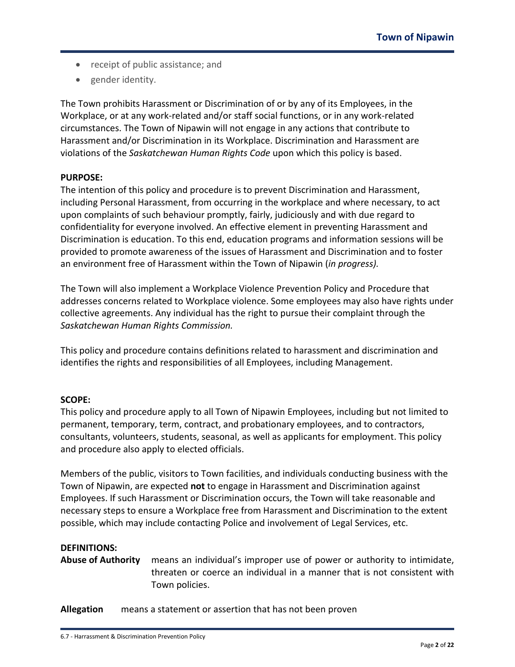- receipt of public assistance; and
- gender identity.

The Town prohibits Harassment or Discrimination of or by any of its Employees, in the Workplace, or at any work-related and/or staff social functions, or in any work-related circumstances. The Town of Nipawin will not engage in any actions that contribute to Harassment and/or Discrimination in its Workplace. Discrimination and Harassment are violations of the *Saskatchewan Human Rights Code* upon which this policy is based.

## **PURPOSE:**

The intention of this policy and procedure is to prevent Discrimination and Harassment, including Personal Harassment, from occurring in the workplace and where necessary, to act upon complaints of such behaviour promptly, fairly, judiciously and with due regard to confidentiality for everyone involved. An effective element in preventing Harassment and Discrimination is education. To this end, education programs and information sessions will be provided to promote awareness of the issues of Harassment and Discrimination and to foster an environment free of Harassment within the Town of Nipawin (*in progress).*

The Town will also implement a Workplace Violence Prevention Policy and Procedure that addresses concerns related to Workplace violence. Some employees may also have rights under collective agreements. Any individual has the right to pursue their complaint through the *Saskatchewan Human Rights Commission.*

This policy and procedure contains definitions related to harassment and discrimination and identifies the rights and responsibilities of all Employees, including Management.

## **SCOPE:**

This policy and procedure apply to all Town of Nipawin Employees, including but not limited to permanent, temporary, term, contract, and probationary employees, and to contractors, consultants, volunteers, students, seasonal, as well as applicants for employment. This policy and procedure also apply to elected officials.

Members of the public, visitors to Town facilities, and individuals conducting business with the Town of Nipawin, are expected **not** to engage in Harassment and Discrimination against Employees. If such Harassment or Discrimination occurs, the Town will take reasonable and necessary steps to ensure a Workplace free from Harassment and Discrimination to the extent possible, which may include contacting Police and involvement of Legal Services, etc.

#### **DEFINITIONS:**

**Abuse of Authority** means an individual's improper use of power or authority to intimidate, threaten or coerce an individual in a manner that is not consistent with Town policies.

**Allegation** means a statement or assertion that has not been proven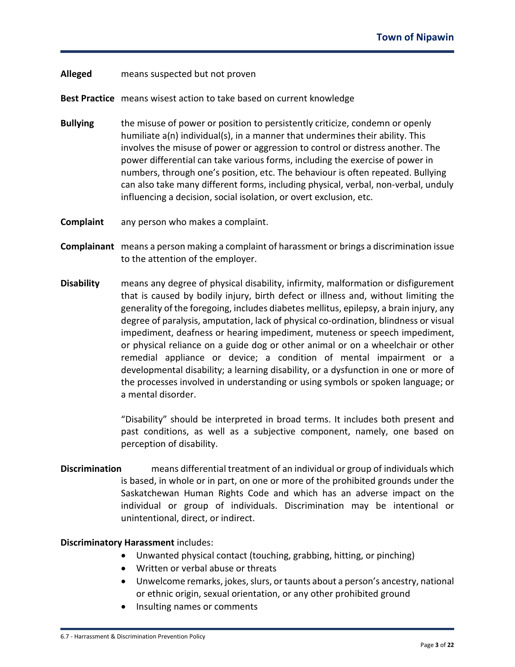#### **Alleged** means suspected but not proven

**Best Practice** means wisest action to take based on current knowledge

- **Bullying** the misuse of power or position to persistently criticize, condemn or openly humiliate a(n) individual(s), in a manner that undermines their ability. This involves the misuse of power or aggression to control or distress another. The power differential can take various forms, including the exercise of power in numbers, through one's position, etc. The behaviour is often repeated. Bullying can also take many different forms, including physical, verbal, non-verbal, unduly influencing a decision, social isolation, or overt exclusion, etc.
- **Complaint** any person who makes a complaint.
- **Complainant** means a person making a complaint of harassment or brings a discrimination issue to the attention of the employer.
- **Disability** means any degree of physical disability, infirmity, malformation or disfigurement that is caused by bodily injury, birth defect or illness and, without limiting the generality of the foregoing, includes diabetes mellitus, epilepsy, a brain injury, any degree of paralysis, amputation, lack of physical co-ordination, blindness or visual impediment, deafness or hearing impediment, muteness or speech impediment, or physical reliance on a guide dog or other animal or on a wheelchair or other remedial appliance or device; a condition of mental impairment or a developmental disability; a learning disability, or a dysfunction in one or more of the processes involved in understanding or using symbols or spoken language; or a mental disorder.

"Disability" should be interpreted in broad terms. It includes both present and past conditions, as well as a subjective component, namely, one based on perception of disability.

**Discrimination** means differential treatment of an individual or group of individuals which is based, in whole or in part, on one or more of the prohibited grounds under the Saskatchewan Human Rights Code and which has an adverse impact on the individual or group of individuals. Discrimination may be intentional or unintentional, direct, or indirect.

#### **Discriminatory Harassment** includes:

- Unwanted physical contact (touching, grabbing, hitting, or pinching)
- Written or verbal abuse or threats
- Unwelcome remarks, jokes, slurs, or taunts about a person's ancestry, national or ethnic origin, sexual orientation, or any other prohibited ground
- Insulting names or comments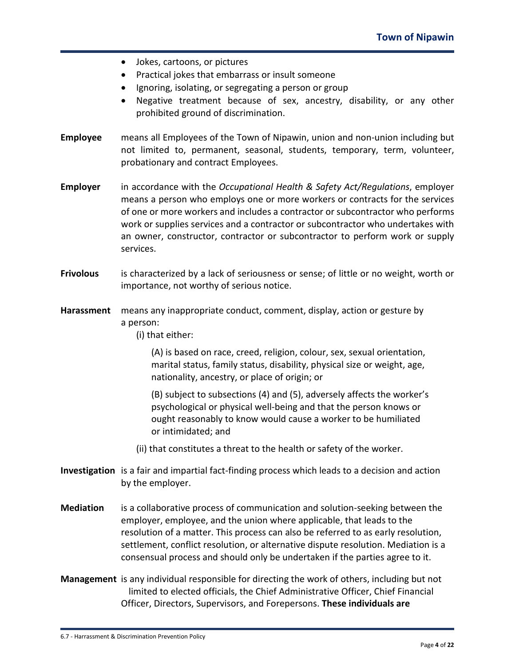- Jokes, cartoons, or pictures
- Practical jokes that embarrass or insult someone
- Ignoring, isolating, or segregating a person or group
- Negative treatment because of sex, ancestry, disability, or any other prohibited ground of discrimination.
- **Employee** means all Employees of the Town of Nipawin, union and non-union including but not limited to, permanent, seasonal, students, temporary, term, volunteer, probationary and contract Employees.
- **Employer** in accordance with the *Occupational Health & Safety Act/Regulations*, employer means a person who employs one or more workers or contracts for the services of one or more workers and includes a contractor or subcontractor who performs work or supplies services and a contractor or subcontractor who undertakes with an owner, constructor, contractor or subcontractor to perform work or supply services.
- **Frivolous** is characterized by a lack of seriousness or sense; of little or no weight, worth or importance, not worthy of serious notice.
- **Harassment** means any inappropriate conduct, comment, display, action or gesture by a person:

(i) that either:

(A) is based on race, creed, religion, colour, sex, sexual orientation, marital status, family status, disability, physical size or weight, age, nationality, ancestry, or place of origin; or

(B) subject to subsections (4) and (5), adversely affects the worker's psychological or physical well-being and that the person knows or ought reasonably to know would cause a worker to be humiliated or intimidated; and

- (ii) that constitutes a threat to the health or safety of the worker.
- **Investigation** is a fair and impartial fact-finding process which leads to a decision and action by the employer.
- **Mediation** is a collaborative process of communication and solution-seeking between the employer, employee, and the union where applicable, that leads to the resolution of a matter. This process can also be referred to as early resolution, settlement, conflict resolution, or alternative dispute resolution. Mediation is a consensual process and should only be undertaken if the parties agree to it.
- **Management** is any individual responsible for directing the work of others, including but not limited to elected officials, the Chief Administrative Officer, Chief Financial Officer, Directors, Supervisors, and Forepersons. **These individuals are**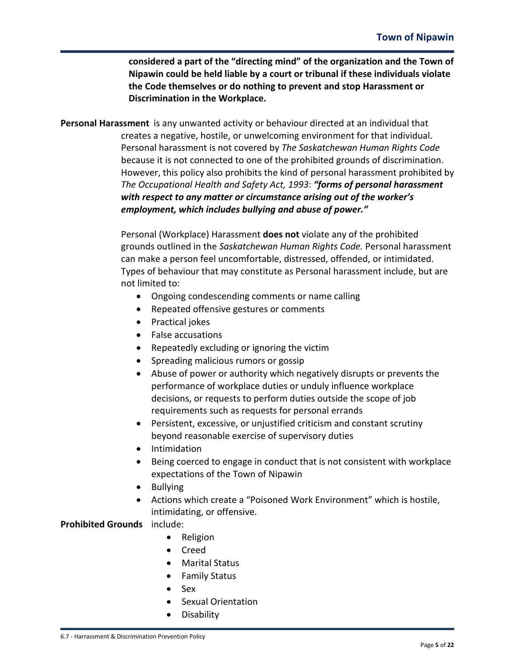**considered a part of the "directing mind" of the organization and the Town of Nipawin could be held liable by a court or tribunal if these individuals violate the Code themselves or do nothing to prevent and stop Harassment or Discrimination in the Workplace.**

**Personal Harassment** is any unwanted activity or behaviour directed at an individual that creates a negative, hostile, or unwelcoming environment for that individual. Personal harassment is not covered by *The Saskatchewan Human Rights Code* because it is not connected to one of the prohibited grounds of discrimination. However, this policy also prohibits the kind of personal harassment prohibited by *The Occupational Health and Safety Act, 1993*: *"forms of personal harassment with respect to any matter or circumstance arising out of the worker's employment, which includes bullying and abuse of power."*

> Personal (Workplace) Harassment **does not** violate any of the prohibited grounds outlined in the *Saskatchewan Human Rights Code.* Personal harassment can make a person feel uncomfortable, distressed, offended, or intimidated. Types of behaviour that may constitute as Personal harassment include, but are not limited to:

- Ongoing condescending comments or name calling
- Repeated offensive gestures or comments
- Practical jokes
- False accusations
- Repeatedly excluding or ignoring the victim
- Spreading malicious rumors or gossip
- Abuse of power or authority which negatively disrupts or prevents the performance of workplace duties or unduly influence workplace decisions, or requests to perform duties outside the scope of job requirements such as requests for personal errands
- Persistent, excessive, or unjustified criticism and constant scrutiny beyond reasonable exercise of supervisory duties
- Intimidation
- Being coerced to engage in conduct that is not consistent with workplace expectations of the Town of Nipawin
- Bullying
- Actions which create a "Poisoned Work Environment" which is hostile, intimidating, or offensive.

## **Prohibited Grounds** include:

- Religion
- Creed
- Marital Status
- Family Status
- Sex
- Sexual Orientation
- Disability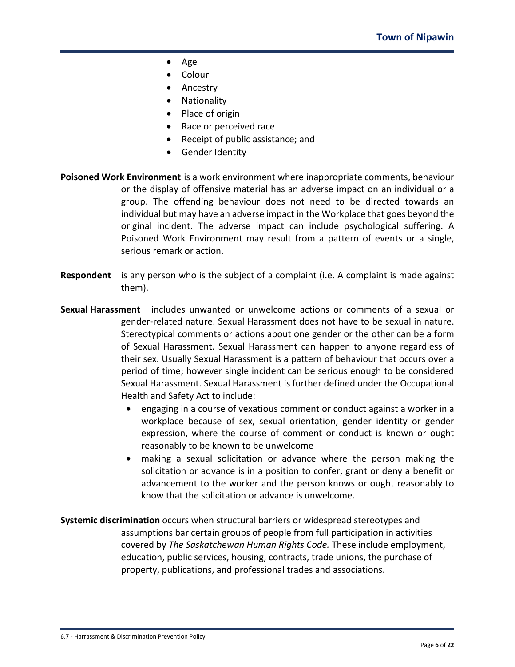- Age
- Colour
- Ancestry
- Nationality
- Place of origin
- Race or perceived race
- Receipt of public assistance; and
- Gender Identity
- **Poisoned Work Environment** is a work environment where inappropriate comments, behaviour or the display of offensive material has an adverse impact on an individual or a group. The offending behaviour does not need to be directed towards an individual but may have an adverse impact in the Workplace that goes beyond the original incident. The adverse impact can include psychological suffering. A Poisoned Work Environment may result from a pattern of events or a single, serious remark or action.
- **Respondent** is any person who is the subject of a complaint (i.e. A complaint is made against them).
- **Sexual Harassment** includes unwanted or unwelcome actions or comments of a sexual or gender-related nature. Sexual Harassment does not have to be sexual in nature. Stereotypical comments or actions about one gender or the other can be a form of Sexual Harassment. Sexual Harassment can happen to anyone regardless of their sex. Usually Sexual Harassment is a pattern of behaviour that occurs over a period of time; however single incident can be serious enough to be considered Sexual Harassment. Sexual Harassment is further defined under the Occupational Health and Safety Act to include:
	- engaging in a course of vexatious comment or conduct against a worker in a workplace because of sex, sexual orientation, gender identity or gender expression, where the course of comment or conduct is known or ought reasonably to be known to be unwelcome
	- making a sexual solicitation or advance where the person making the solicitation or advance is in a position to confer, grant or deny a benefit or advancement to the worker and the person knows or ought reasonably to know that the solicitation or advance is unwelcome.
- **Systemic discrimination** occurs when structural barriers or widespread stereotypes and assumptions bar certain groups of people from full participation in activities covered by *The Saskatchewan Human Rights Code.* These include employment, education, public services, housing, contracts, trade unions, the purchase of property, publications, and professional trades and associations.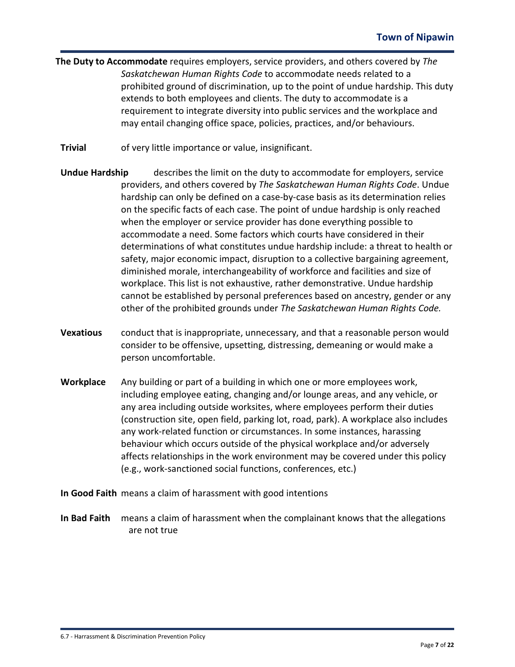- **The Duty to Accommodate** requires employers, service providers, and others covered by *The Saskatchewan Human Rights Code* to accommodate needs related to a prohibited ground of discrimination, up to the point of undue hardship. This duty extends to both employees and clients. The duty to accommodate is a requirement to integrate diversity into public services and the workplace and may entail changing office space, policies, practices, and/or behaviours.
- **Trivial** of very little importance or value, insignificant.
- **Undue Hardship** describes the limit on the duty to accommodate for employers, service providers, and others covered by *The Saskatchewan Human Rights Code*. Undue hardship can only be defined on a case-by-case basis as its determination relies on the specific facts of each case. The point of undue hardship is only reached when the employer or service provider has done everything possible to accommodate a need. Some factors which courts have considered in their determinations of what constitutes undue hardship include: a threat to health or safety, major economic impact, disruption to a collective bargaining agreement, diminished morale, interchangeability of workforce and facilities and size of workplace. This list is not exhaustive, rather demonstrative. Undue hardship cannot be established by personal preferences based on ancestry, gender or any other of the prohibited grounds under *The Saskatchewan Human Rights Code.*
- **Vexatious** conduct that is inappropriate, unnecessary, and that a reasonable person would consider to be offensive, upsetting, distressing, demeaning or would make a person uncomfortable.
- **Workplace** Any building or part of a building in which one or more employees work, including employee eating, changing and/or lounge areas, and any vehicle, or any area including outside worksites, where employees perform their duties (construction site, open field, parking lot, road, park). A workplace also includes any work-related function or circumstances. In some instances, harassing behaviour which occurs outside of the physical workplace and/or adversely affects relationships in the work environment may be covered under this policy (e.g., work-sanctioned social functions, conferences, etc.)
- **In Good Faith** means a claim of harassment with good intentions
- **In Bad Faith** means a claim of harassment when the complainant knows that the allegations are not true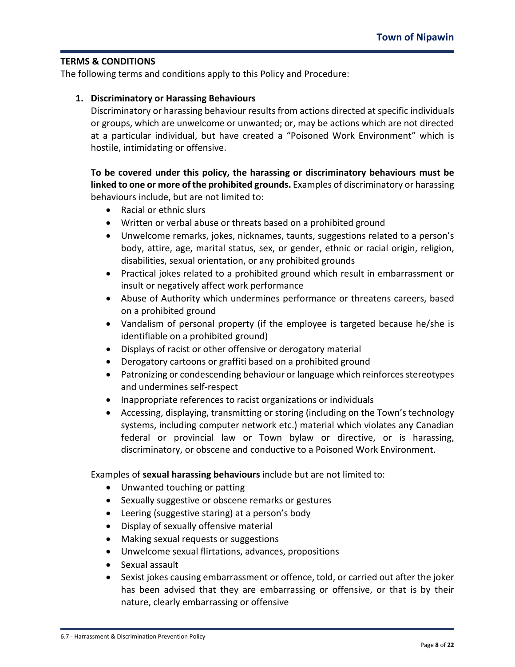#### **TERMS & CONDITIONS**

The following terms and conditions apply to this Policy and Procedure:

#### **1. Discriminatory or Harassing Behaviours**

Discriminatory or harassing behaviour results from actions directed at specific individuals or groups, which are unwelcome or unwanted; or, may be actions which are not directed at a particular individual, but have created a "Poisoned Work Environment" which is hostile, intimidating or offensive.

**To be covered under this policy, the harassing or discriminatory behaviours must be linked to one or more of the prohibited grounds.** Examples of discriminatory or harassing behaviours include, but are not limited to:

- Racial or ethnic slurs
- Written or verbal abuse or threats based on a prohibited ground
- Unwelcome remarks, jokes, nicknames, taunts, suggestions related to a person's body, attire, age, marital status, sex, or gender, ethnic or racial origin, religion, disabilities, sexual orientation, or any prohibited grounds
- Practical jokes related to a prohibited ground which result in embarrassment or insult or negatively affect work performance
- Abuse of Authority which undermines performance or threatens careers, based on a prohibited ground
- Vandalism of personal property (if the employee is targeted because he/she is identifiable on a prohibited ground)
- Displays of racist or other offensive or derogatory material
- Derogatory cartoons or graffiti based on a prohibited ground
- Patronizing or condescending behaviour or language which reinforces stereotypes and undermines self-respect
- Inappropriate references to racist organizations or individuals
- Accessing, displaying, transmitting or storing (including on the Town's technology systems, including computer network etc.) material which violates any Canadian federal or provincial law or Town bylaw or directive, or is harassing, discriminatory, or obscene and conductive to a Poisoned Work Environment.

Examples of **sexual harassing behaviours** include but are not limited to:

- Unwanted touching or patting
- Sexually suggestive or obscene remarks or gestures
- Leering (suggestive staring) at a person's body
- Display of sexually offensive material
- Making sexual requests or suggestions
- Unwelcome sexual flirtations, advances, propositions
- Sexual assault
- Sexist jokes causing embarrassment or offence, told, or carried out after the joker has been advised that they are embarrassing or offensive, or that is by their nature, clearly embarrassing or offensive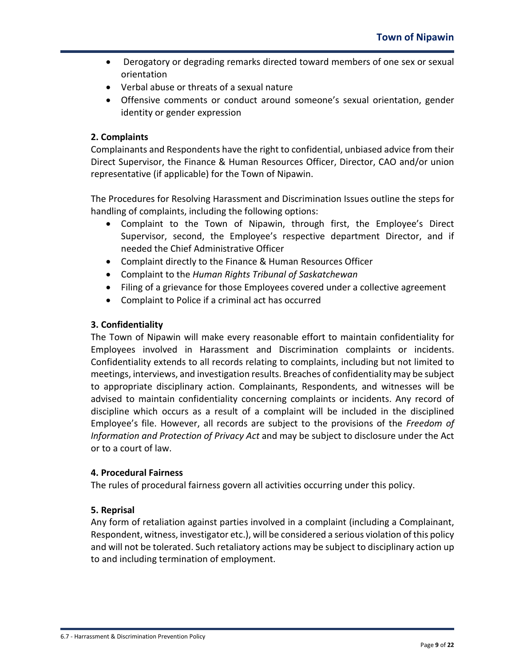- Derogatory or degrading remarks directed toward members of one sex or sexual orientation
- Verbal abuse or threats of a sexual nature
- Offensive comments or conduct around someone's sexual orientation, gender identity or gender expression

# **2. Complaints**

Complainants and Respondents have the right to confidential, unbiased advice from their Direct Supervisor, the Finance & Human Resources Officer, Director, CAO and/or union representative (if applicable) for the Town of Nipawin.

The Procedures for Resolving Harassment and Discrimination Issues outline the steps for handling of complaints, including the following options:

- Complaint to the Town of Nipawin, through first, the Employee's Direct Supervisor, second, the Employee's respective department Director, and if needed the Chief Administrative Officer
- Complaint directly to the Finance & Human Resources Officer
- Complaint to the *Human Rights Tribunal of Saskatchewan*
- Filing of a grievance for those Employees covered under a collective agreement
- Complaint to Police if a criminal act has occurred

## **3. Confidentiality**

The Town of Nipawin will make every reasonable effort to maintain confidentiality for Employees involved in Harassment and Discrimination complaints or incidents. Confidentiality extends to all records relating to complaints, including but not limited to meetings, interviews, and investigation results. Breaches of confidentiality may be subject to appropriate disciplinary action. Complainants, Respondents, and witnesses will be advised to maintain confidentiality concerning complaints or incidents. Any record of discipline which occurs as a result of a complaint will be included in the disciplined Employee's file. However, all records are subject to the provisions of the *Freedom of Information and Protection of Privacy Act* and may be subject to disclosure under the Act or to a court of law.

## **4. Procedural Fairness**

The rules of procedural fairness govern all activities occurring under this policy.

## **5. Reprisal**

Any form of retaliation against parties involved in a complaint (including a Complainant, Respondent, witness, investigator etc.), will be considered a serious violation of this policy and will not be tolerated. Such retaliatory actions may be subject to disciplinary action up to and including termination of employment.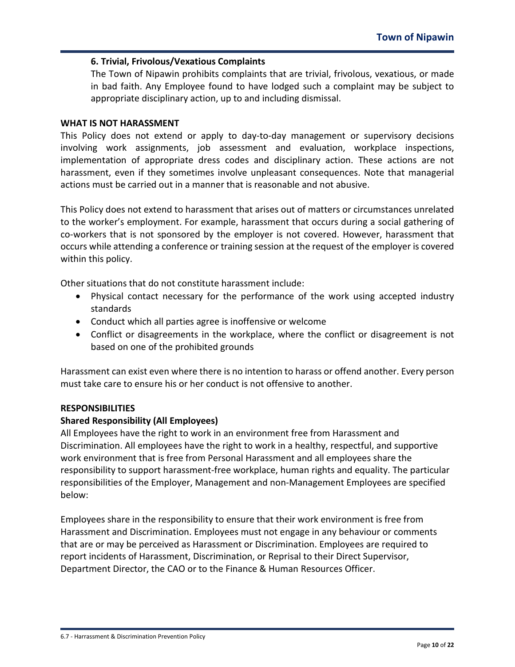### **6. Trivial, Frivolous/Vexatious Complaints**

The Town of Nipawin prohibits complaints that are trivial, frivolous, vexatious, or made in bad faith. Any Employee found to have lodged such a complaint may be subject to appropriate disciplinary action, up to and including dismissal.

#### **WHAT IS NOT HARASSMENT**

This Policy does not extend or apply to day-to-day management or supervisory decisions involving work assignments, job assessment and evaluation, workplace inspections, implementation of appropriate dress codes and disciplinary action. These actions are not harassment, even if they sometimes involve unpleasant consequences. Note that managerial actions must be carried out in a manner that is reasonable and not abusive.

This Policy does not extend to harassment that arises out of matters or circumstances unrelated to the worker's employment. For example, harassment that occurs during a social gathering of co-workers that is not sponsored by the employer is not covered. However, harassment that occurs while attending a conference or training session at the request of the employer is covered within this policy.

Other situations that do not constitute harassment include:

- Physical contact necessary for the performance of the work using accepted industry standards
- Conduct which all parties agree is inoffensive or welcome
- Conflict or disagreements in the workplace, where the conflict or disagreement is not based on one of the prohibited grounds

Harassment can exist even where there is no intention to harass or offend another. Every person must take care to ensure his or her conduct is not offensive to another.

#### **RESPONSIBILITIES**

## **Shared Responsibility (All Employees)**

All Employees have the right to work in an environment free from Harassment and Discrimination. All employees have the right to work in a healthy, respectful, and supportive work environment that is free from Personal Harassment and all employees share the responsibility to support harassment-free workplace, human rights and equality. The particular responsibilities of the Employer, Management and non-Management Employees are specified below:

Employees share in the responsibility to ensure that their work environment is free from Harassment and Discrimination. Employees must not engage in any behaviour or comments that are or may be perceived as Harassment or Discrimination. Employees are required to report incidents of Harassment, Discrimination, or Reprisal to their Direct Supervisor, Department Director, the CAO or to the Finance & Human Resources Officer.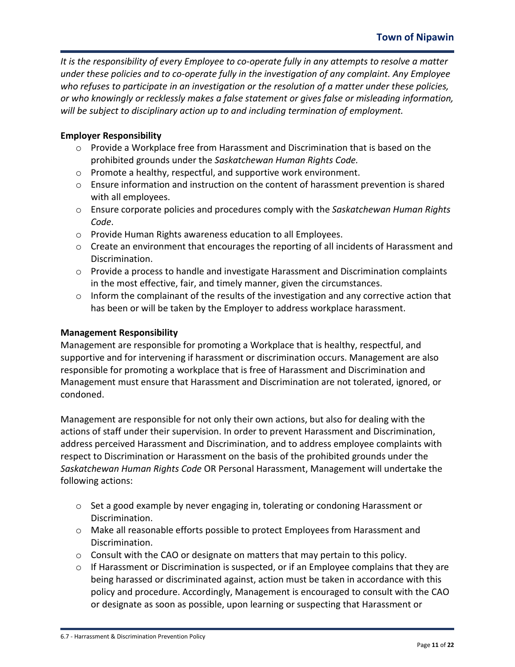*It is the responsibility of every Employee to co-operate fully in any attempts to resolve a matter under these policies and to co-operate fully in the investigation of any complaint. Any Employee who refuses to participate in an investigation or the resolution of a matter under these policies, or who knowingly or recklessly makes a false statement or gives false or misleading information, will be subject to disciplinary action up to and including termination of employment.*

# **Employer Responsibility**

- o Provide a Workplace free from Harassment and Discrimination that is based on the prohibited grounds under the *Saskatchewan Human Rights Code.*
- o Promote a healthy, respectful, and supportive work environment.
- o Ensure information and instruction on the content of harassment prevention is shared with all employees.
- o Ensure corporate policies and procedures comply with the *Saskatchewan Human Rights Code*.
- o Provide Human Rights awareness education to all Employees.
- $\circ$  Create an environment that encourages the reporting of all incidents of Harassment and Discrimination.
- $\circ$  Provide a process to handle and investigate Harassment and Discrimination complaints in the most effective, fair, and timely manner, given the circumstances.
- o Inform the complainant of the results of the investigation and any corrective action that has been or will be taken by the Employer to address workplace harassment.

## **Management Responsibility**

Management are responsible for promoting a Workplace that is healthy, respectful, and supportive and for intervening if harassment or discrimination occurs. Management are also responsible for promoting a workplace that is free of Harassment and Discrimination and Management must ensure that Harassment and Discrimination are not tolerated, ignored, or condoned.

Management are responsible for not only their own actions, but also for dealing with the actions of staff under their supervision. In order to prevent Harassment and Discrimination, address perceived Harassment and Discrimination, and to address employee complaints with respect to Discrimination or Harassment on the basis of the prohibited grounds under the *Saskatchewan Human Rights Code* OR Personal Harassment, Management will undertake the following actions:

- $\circ$  Set a good example by never engaging in, tolerating or condoning Harassment or Discrimination.
- o Make all reasonable efforts possible to protect Employees from Harassment and Discrimination.
- o Consult with the CAO or designate on matters that may pertain to this policy.
- $\circ$  If Harassment or Discrimination is suspected, or if an Employee complains that they are being harassed or discriminated against, action must be taken in accordance with this policy and procedure. Accordingly, Management is encouraged to consult with the CAO or designate as soon as possible, upon learning or suspecting that Harassment or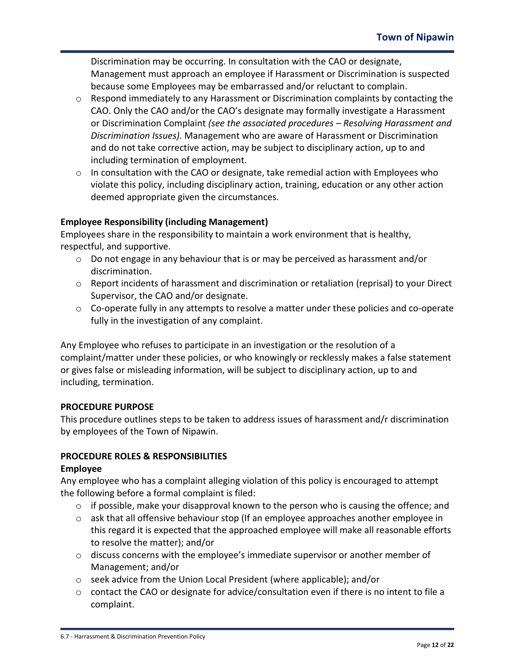Discrimination may be occurring. In consultation with the CAO or designate, Management must approach an employee if Harassment or Discrimination is suspected because some Employees may be embarrassed and/or reluctant to complain.

- o Respond immediately to any Harassment or Discrimination complaints by contacting the CAO. Only the CAO and/or the CAO's designate may formally investigate a Harassment or Discrimination Complaint *(see the associated procedures – Resolving Harassment and Discrimination Issues).* Management who are aware of Harassment or Discrimination and do not take corrective action, may be subject to disciplinary action, up to and including termination of employment.
- o In consultation with the CAO or designate, take remedial action with Employees who violate this policy, including disciplinary action, training, education or any other action deemed appropriate given the circumstances.

# **Employee Responsibility (including Management)**

Employees share in the responsibility to maintain a work environment that is healthy, respectful, and supportive.

- o Do not engage in any behaviour that is or may be perceived as harassment and/or discrimination.
- $\circ$  Report incidents of harassment and discrimination or retaliation (reprisal) to your Direct Supervisor, the CAO and/or designate.
- $\circ$  Co-operate fully in any attempts to resolve a matter under these policies and co-operate fully in the investigation of any complaint.

Any Employee who refuses to participate in an investigation or the resolution of a complaint/matter under these policies, or who knowingly or recklessly makes a false statement or gives false or misleading information, will be subject to disciplinary action, up to and including, termination.

## **PROCEDURE PURPOSE**

This procedure outlines steps to be taken to address issues of harassment and/r discrimination by employees of the Town of Nipawin.

# **PROCEDURE ROLES & RESPONSIBILITIES**

## **Employee**

Any employee who has a complaint alleging violation of this policy is encouraged to attempt the following before a formal complaint is filed:

- $\circ$  if possible, make your disapproval known to the person who is causing the offence; and
- $\circ$  ask that all offensive behaviour stop (If an employee approaches another employee in this regard it is expected that the approached employee will make all reasonable efforts to resolve the matter); and/or
- o discuss concerns with the employee's immediate supervisor or another member of Management; and/or
- o seek advice from the Union Local President (where applicable); and/or
- $\circ$  contact the CAO or designate for advice/consultation even if there is no intent to file a complaint.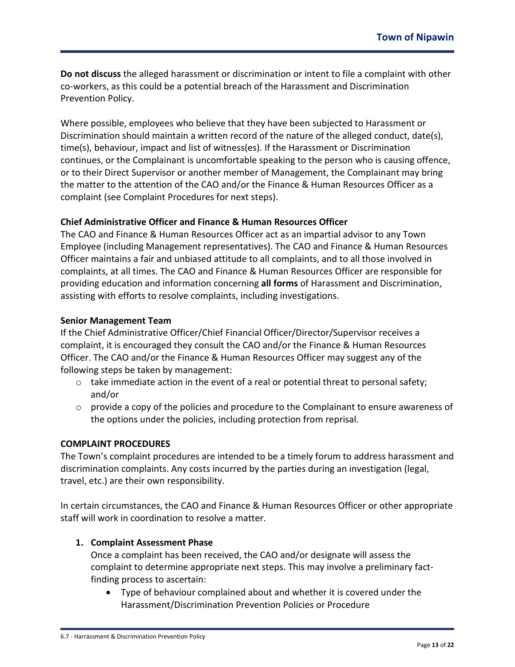**Do not discuss** the alleged harassment or discrimination or intent to file a complaint with other co-workers, as this could be a potential breach of the Harassment and Discrimination Prevention Policy.

Where possible, employees who believe that they have been subjected to Harassment or Discrimination should maintain a written record of the nature of the alleged conduct, date(s), time(s), behaviour, impact and list of witness(es). If the Harassment or Discrimination continues, or the Complainant is uncomfortable speaking to the person who is causing offence, or to their Direct Supervisor or another member of Management, the Complainant may bring the matter to the attention of the CAO and/or the Finance & Human Resources Officer as a complaint (see Complaint Procedures for next steps).

## **Chief Administrative Officer and Finance & Human Resources Officer**

The CAO and Finance & Human Resources Officer act as an impartial advisor to any Town Employee (including Management representatives). The CAO and Finance & Human Resources Officer maintains a fair and unbiased attitude to all complaints, and to all those involved in complaints, at all times. The CAO and Finance & Human Resources Officer are responsible for providing education and information concerning **all forms** of Harassment and Discrimination, assisting with efforts to resolve complaints, including investigations.

## **Senior Management Team**

If the Chief Administrative Officer/Chief Financial Officer/Director/Supervisor receives a complaint, it is encouraged they consult the CAO and/or the Finance & Human Resources Officer. The CAO and/or the Finance & Human Resources Officer may suggest any of the following steps be taken by management:

- $\circ$  take immediate action in the event of a real or potential threat to personal safety; and/or
- $\circ$  provide a copy of the policies and procedure to the Complainant to ensure awareness of the options under the policies, including protection from reprisal.

## **COMPLAINT PROCEDURES**

The Town's complaint procedures are intended to be a timely forum to address harassment and discrimination complaints. Any costs incurred by the parties during an investigation (legal, travel, etc.) are their own responsibility.

In certain circumstances, the CAO and Finance & Human Resources Officer or other appropriate staff will work in coordination to resolve a matter.

## **1. Complaint Assessment Phase**

Once a complaint has been received, the CAO and/or designate will assess the complaint to determine appropriate next steps. This may involve a preliminary factfinding process to ascertain:

• Type of behaviour complained about and whether it is covered under the Harassment/Discrimination Prevention Policies or Procedure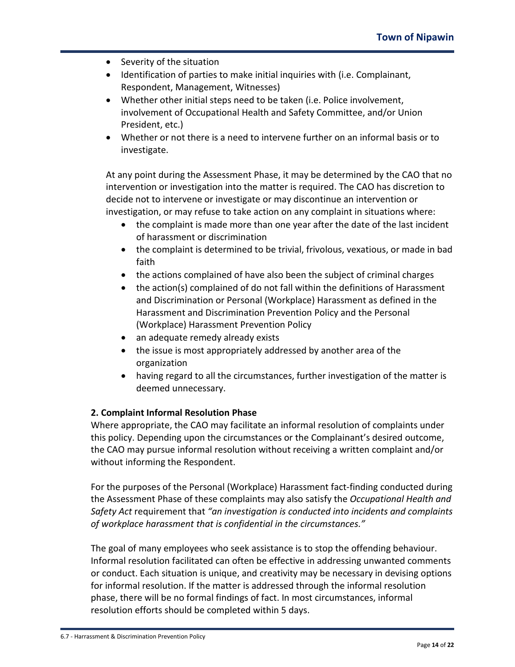- Severity of the situation
- Identification of parties to make initial inquiries with (i.e. Complainant, Respondent, Management, Witnesses)
- Whether other initial steps need to be taken (i.e. Police involvement, involvement of Occupational Health and Safety Committee, and/or Union President, etc.)
- Whether or not there is a need to intervene further on an informal basis or to investigate.

At any point during the Assessment Phase, it may be determined by the CAO that no intervention or investigation into the matter is required. The CAO has discretion to decide not to intervene or investigate or may discontinue an intervention or investigation, or may refuse to take action on any complaint in situations where:

- the complaint is made more than one year after the date of the last incident of harassment or discrimination
- the complaint is determined to be trivial, frivolous, vexatious, or made in bad faith
- the actions complained of have also been the subject of criminal charges
- the action(s) complained of do not fall within the definitions of Harassment and Discrimination or Personal (Workplace) Harassment as defined in the Harassment and Discrimination Prevention Policy and the Personal (Workplace) Harassment Prevention Policy
- an adequate remedy already exists
- the issue is most appropriately addressed by another area of the organization
- having regard to all the circumstances, further investigation of the matter is deemed unnecessary.

## **2. Complaint Informal Resolution Phase**

Where appropriate, the CAO may facilitate an informal resolution of complaints under this policy. Depending upon the circumstances or the Complainant's desired outcome, the CAO may pursue informal resolution without receiving a written complaint and/or without informing the Respondent.

For the purposes of the Personal (Workplace) Harassment fact-finding conducted during the Assessment Phase of these complaints may also satisfy the *Occupational Health and Safety Act* requirement that *"an investigation is conducted into incidents and complaints of workplace harassment that is confidential in the circumstances."* 

The goal of many employees who seek assistance is to stop the offending behaviour. Informal resolution facilitated can often be effective in addressing unwanted comments or conduct. Each situation is unique, and creativity may be necessary in devising options for informal resolution. If the matter is addressed through the informal resolution phase, there will be no formal findings of fact. In most circumstances, informal resolution efforts should be completed within 5 days.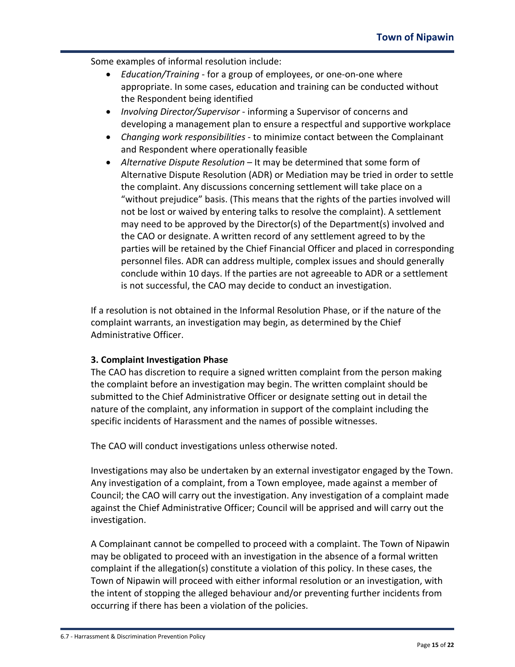Some examples of informal resolution include:

- *Education/Training* for a group of employees, or one-on-one where appropriate. In some cases, education and training can be conducted without the Respondent being identified
- *Involving Director/Supervisor* informing a Supervisor of concerns and developing a management plan to ensure a respectful and supportive workplace
- *Changing work responsibilities* to minimize contact between the Complainant and Respondent where operationally feasible
- *Alternative Dispute Resolution* It may be determined that some form of Alternative Dispute Resolution (ADR) or Mediation may be tried in order to settle the complaint. Any discussions concerning settlement will take place on a "without prejudice" basis. (This means that the rights of the parties involved will not be lost or waived by entering talks to resolve the complaint). A settlement may need to be approved by the Director(s) of the Department(s) involved and the CAO or designate. A written record of any settlement agreed to by the parties will be retained by the Chief Financial Officer and placed in corresponding personnel files. ADR can address multiple, complex issues and should generally conclude within 10 days. If the parties are not agreeable to ADR or a settlement is not successful, the CAO may decide to conduct an investigation.

If a resolution is not obtained in the Informal Resolution Phase, or if the nature of the complaint warrants, an investigation may begin, as determined by the Chief Administrative Officer.

## **3. Complaint Investigation Phase**

The CAO has discretion to require a signed written complaint from the person making the complaint before an investigation may begin. The written complaint should be submitted to the Chief Administrative Officer or designate setting out in detail the nature of the complaint, any information in support of the complaint including the specific incidents of Harassment and the names of possible witnesses.

The CAO will conduct investigations unless otherwise noted.

Investigations may also be undertaken by an external investigator engaged by the Town. Any investigation of a complaint, from a Town employee, made against a member of Council; the CAO will carry out the investigation. Any investigation of a complaint made against the Chief Administrative Officer; Council will be apprised and will carry out the investigation.

A Complainant cannot be compelled to proceed with a complaint. The Town of Nipawin may be obligated to proceed with an investigation in the absence of a formal written complaint if the allegation(s) constitute a violation of this policy. In these cases, the Town of Nipawin will proceed with either informal resolution or an investigation, with the intent of stopping the alleged behaviour and/or preventing further incidents from occurring if there has been a violation of the policies.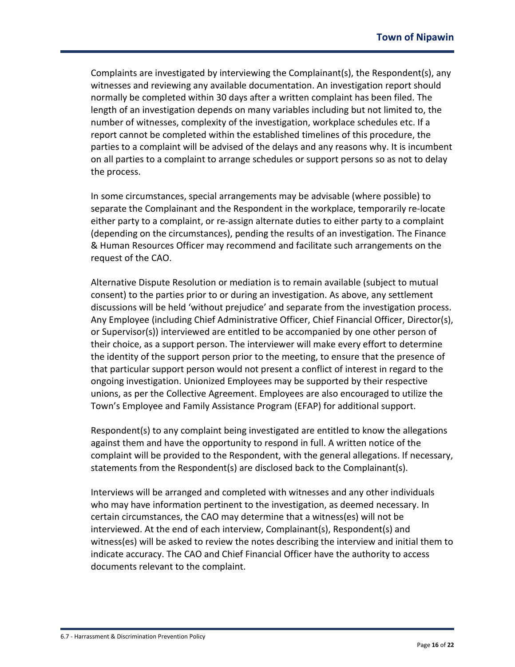Complaints are investigated by interviewing the Complainant(s), the Respondent(s), any witnesses and reviewing any available documentation. An investigation report should normally be completed within 30 days after a written complaint has been filed. The length of an investigation depends on many variables including but not limited to, the number of witnesses, complexity of the investigation, workplace schedules etc. If a report cannot be completed within the established timelines of this procedure, the parties to a complaint will be advised of the delays and any reasons why. It is incumbent on all parties to a complaint to arrange schedules or support persons so as not to delay the process.

In some circumstances, special arrangements may be advisable (where possible) to separate the Complainant and the Respondent in the workplace, temporarily re-locate either party to a complaint, or re-assign alternate duties to either party to a complaint (depending on the circumstances), pending the results of an investigation. The Finance & Human Resources Officer may recommend and facilitate such arrangements on the request of the CAO.

Alternative Dispute Resolution or mediation is to remain available (subject to mutual consent) to the parties prior to or during an investigation. As above, any settlement discussions will be held 'without prejudice' and separate from the investigation process. Any Employee (including Chief Administrative Officer, Chief Financial Officer, Director(s), or Supervisor(s)) interviewed are entitled to be accompanied by one other person of their choice, as a support person. The interviewer will make every effort to determine the identity of the support person prior to the meeting, to ensure that the presence of that particular support person would not present a conflict of interest in regard to the ongoing investigation. Unionized Employees may be supported by their respective unions, as per the Collective Agreement. Employees are also encouraged to utilize the Town's Employee and Family Assistance Program (EFAP) for additional support.

Respondent(s) to any complaint being investigated are entitled to know the allegations against them and have the opportunity to respond in full. A written notice of the complaint will be provided to the Respondent, with the general allegations. If necessary, statements from the Respondent(s) are disclosed back to the Complainant(s).

Interviews will be arranged and completed with witnesses and any other individuals who may have information pertinent to the investigation, as deemed necessary. In certain circumstances, the CAO may determine that a witness(es) will not be interviewed. At the end of each interview, Complainant(s), Respondent(s) and witness(es) will be asked to review the notes describing the interview and initial them to indicate accuracy. The CAO and Chief Financial Officer have the authority to access documents relevant to the complaint.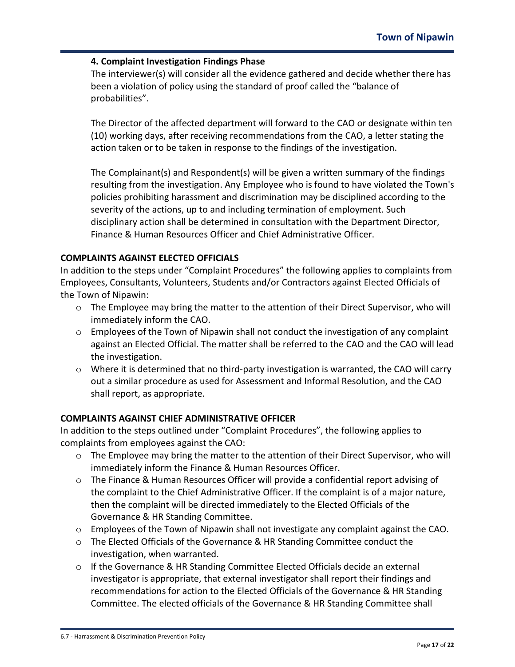# **4. Complaint Investigation Findings Phase**

The interviewer(s) will consider all the evidence gathered and decide whether there has been a violation of policy using the standard of proof called the "balance of probabilities".

The Director of the affected department will forward to the CAO or designate within ten (10) working days, after receiving recommendations from the CAO, a letter stating the action taken or to be taken in response to the findings of the investigation.

The Complainant(s) and Respondent(s) will be given a written summary of the findings resulting from the investigation. Any Employee who is found to have violated the Town's policies prohibiting harassment and discrimination may be disciplined according to the severity of the actions, up to and including termination of employment. Such disciplinary action shall be determined in consultation with the Department Director, Finance & Human Resources Officer and Chief Administrative Officer.

# **COMPLAINTS AGAINST ELECTED OFFICIALS**

In addition to the steps under "Complaint Procedures" the following applies to complaints from Employees, Consultants, Volunteers, Students and/or Contractors against Elected Officials of the Town of Nipawin:

- o The Employee may bring the matter to the attention of their Direct Supervisor, who will immediately inform the CAO.
- o Employees of the Town of Nipawin shall not conduct the investigation of any complaint against an Elected Official. The matter shall be referred to the CAO and the CAO will lead the investigation.
- $\circ$  Where it is determined that no third-party investigation is warranted, the CAO will carry out a similar procedure as used for Assessment and Informal Resolution, and the CAO shall report, as appropriate.

# **COMPLAINTS AGAINST CHIEF ADMINISTRATIVE OFFICER**

In addition to the steps outlined under "Complaint Procedures", the following applies to complaints from employees against the CAO:

- $\circ$  The Employee may bring the matter to the attention of their Direct Supervisor, who will immediately inform the Finance & Human Resources Officer.
- $\circ$  The Finance & Human Resources Officer will provide a confidential report advising of the complaint to the Chief Administrative Officer. If the complaint is of a major nature, then the complaint will be directed immediately to the Elected Officials of the Governance & HR Standing Committee.
- $\circ$  Employees of the Town of Nipawin shall not investigate any complaint against the CAO.
- o The Elected Officials of the Governance & HR Standing Committee conduct the investigation, when warranted.
- $\circ$  If the Governance & HR Standing Committee Elected Officials decide an external investigator is appropriate, that external investigator shall report their findings and recommendations for action to the Elected Officials of the Governance & HR Standing Committee. The elected officials of the Governance & HR Standing Committee shall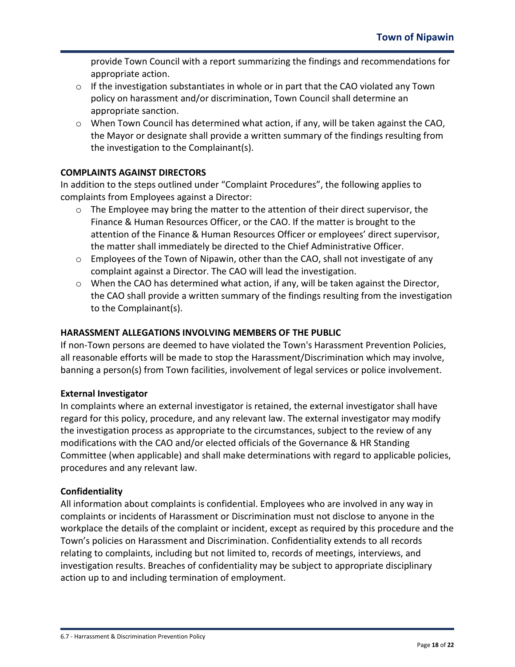provide Town Council with a report summarizing the findings and recommendations for appropriate action.

- $\circ$  If the investigation substantiates in whole or in part that the CAO violated any Town policy on harassment and/or discrimination, Town Council shall determine an appropriate sanction.
- $\circ$  When Town Council has determined what action, if any, will be taken against the CAO, the Mayor or designate shall provide a written summary of the findings resulting from the investigation to the Complainant(s).

# **COMPLAINTS AGAINST DIRECTORS**

In addition to the steps outlined under "Complaint Procedures", the following applies to complaints from Employees against a Director:

- $\circ$  The Employee may bring the matter to the attention of their direct supervisor, the Finance & Human Resources Officer, or the CAO. If the matter is brought to the attention of the Finance & Human Resources Officer or employees' direct supervisor, the matter shall immediately be directed to the Chief Administrative Officer.
- o Employees of the Town of Nipawin, other than the CAO, shall not investigate of any complaint against a Director. The CAO will lead the investigation.
- $\circ$  When the CAO has determined what action, if any, will be taken against the Director, the CAO shall provide a written summary of the findings resulting from the investigation to the Complainant(s).

# **HARASSMENT ALLEGATIONS INVOLVING MEMBERS OF THE PUBLIC**

If non-Town persons are deemed to have violated the Town's Harassment Prevention Policies, all reasonable efforts will be made to stop the Harassment/Discrimination which may involve, banning a person(s) from Town facilities, involvement of legal services or police involvement.

## **External Investigator**

In complaints where an external investigator is retained, the external investigator shall have regard for this policy, procedure, and any relevant law. The external investigator may modify the investigation process as appropriate to the circumstances, subject to the review of any modifications with the CAO and/or elected officials of the Governance & HR Standing Committee (when applicable) and shall make determinations with regard to applicable policies, procedures and any relevant law.

## **Confidentiality**

All information about complaints is confidential. Employees who are involved in any way in complaints or incidents of Harassment or Discrimination must not disclose to anyone in the workplace the details of the complaint or incident, except as required by this procedure and the Town's policies on Harassment and Discrimination. Confidentiality extends to all records relating to complaints, including but not limited to, records of meetings, interviews, and investigation results. Breaches of confidentiality may be subject to appropriate disciplinary action up to and including termination of employment.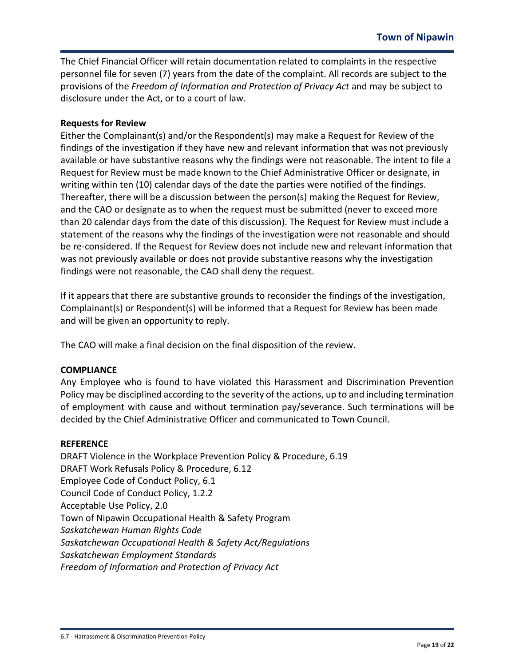The Chief Financial Officer will retain documentation related to complaints in the respective personnel file for seven (7) years from the date of the complaint. All records are subject to the provisions of the *Freedom of Information and Protection of Privacy Act* and may be subject to disclosure under the Act, or to a court of law.

## **Requests for Review**

Either the Complainant(s) and/or the Respondent(s) may make a Request for Review of the findings of the investigation if they have new and relevant information that was not previously available or have substantive reasons why the findings were not reasonable. The intent to file a Request for Review must be made known to the Chief Administrative Officer or designate, in writing within ten (10) calendar days of the date the parties were notified of the findings. Thereafter, there will be a discussion between the person(s) making the Request for Review, and the CAO or designate as to when the request must be submitted (never to exceed more than 20 calendar days from the date of this discussion). The Request for Review must include a statement of the reasons why the findings of the investigation were not reasonable and should be re-considered. If the Request for Review does not include new and relevant information that was not previously available or does not provide substantive reasons why the investigation findings were not reasonable, the CAO shall deny the request.

If it appears that there are substantive grounds to reconsider the findings of the investigation, Complainant(s) or Respondent(s) will be informed that a Request for Review has been made and will be given an opportunity to reply.

The CAO will make a final decision on the final disposition of the review.

#### **COMPLIANCE**

Any Employee who is found to have violated this Harassment and Discrimination Prevention Policy may be disciplined according to the severity of the actions, up to and including termination of employment with cause and without termination pay/severance. Such terminations will be decided by the Chief Administrative Officer and communicated to Town Council.

#### **REFERENCE**

DRAFT Violence in the Workplace Prevention Policy & Procedure, 6.19 DRAFT Work Refusals Policy & Procedure, 6.12 Employee Code of Conduct Policy, 6.1 Council Code of Conduct Policy, 1.2.2 Acceptable Use Policy, 2.0 Town of Nipawin Occupational Health & Safety Program *Saskatchewan Human Rights Code Saskatchewan Occupational Health & Safety Act/Regulations Saskatchewan Employment Standards Freedom of Information and Protection of Privacy Act*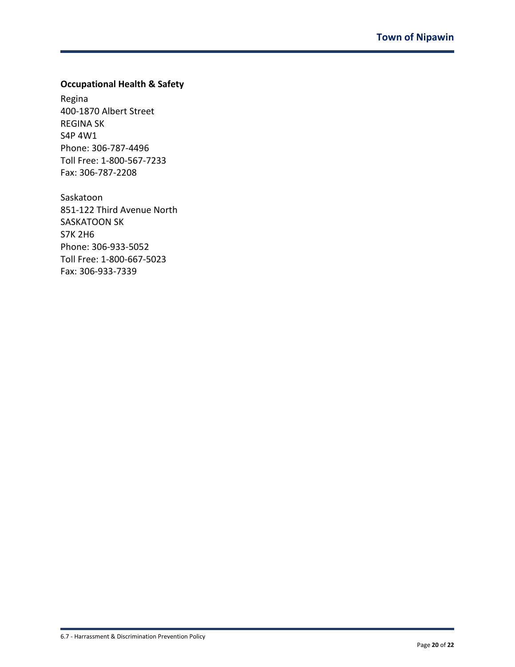# **Occupational Health & Safety**

Regina 400-1870 Albert Street REGINA SK S4P 4W1 Phone: 306-787-4496 Toll Free: 1-800-567-7233 Fax: 306-787-2208

Saskatoon 851-122 Third Avenue North SASKATOON SK S7K 2H6 Phone: 306-933-5052 Toll Free: 1-800-667-5023 Fax: 306-933-7339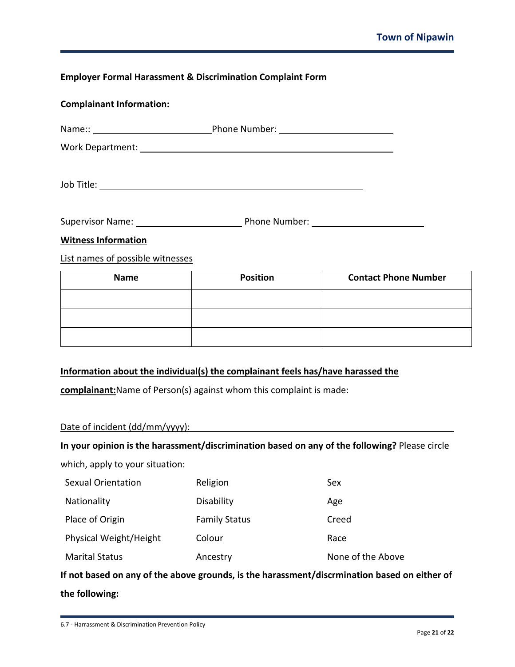# **Employer Formal Harassment & Discrimination Complaint Form**

| <b>Complainant Information:</b>                                                                                 |                 |                             |
|-----------------------------------------------------------------------------------------------------------------|-----------------|-----------------------------|
| Name:: Name:: Name:: Name:: Name:: Name:: Name:: Name:: Name: Name: Name: Name: Name: Name: Name: Name: Name: N |                 |                             |
|                                                                                                                 |                 |                             |
|                                                                                                                 |                 |                             |
|                                                                                                                 |                 |                             |
| <b>Witness Information</b>                                                                                      |                 |                             |
| List names of possible witnesses                                                                                |                 |                             |
| <b>Name</b>                                                                                                     | <b>Position</b> | <b>Contact Phone Number</b> |
|                                                                                                                 |                 |                             |
|                                                                                                                 |                 |                             |

# **Information about the individual(s) the complainant feels has/have harassed the**

**complainant:**Name of Person(s) against whom this complaint is made:

#### Date of incident (dd/mm/yyyy):

#### **In your opinion is the harassment/discrimination based on any of the following?** Please circle

which, apply to your situation:

| Sexual Orientation     | Religion             | Sex               |
|------------------------|----------------------|-------------------|
| Nationality            | <b>Disability</b>    | Age               |
| Place of Origin        | <b>Family Status</b> | Creed             |
| Physical Weight/Height | Colour               | Race              |
| <b>Marital Status</b>  | Ancestry             | None of the Above |

**If not based on any of the above grounds, is the harassment/discrmination based on either of the following:**